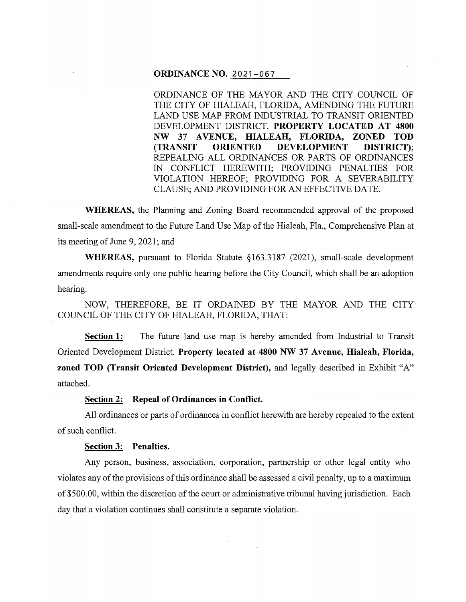### **ORDINANCE NO.** 2021-067

ORDINANCE OF THE MAYOR AND THE CITY COUNCIL OF THE CITY OF HIALEAH, FLORIDA, AMENDING THE FUTURE LAND USE MAP FROM INDUSTRIAL TO TRANSIT ORIENTED DEVELOPMENT DISTRICT. **PROPERTY LOCATED AT 4800 NW** 37 A **VENUE, HIALEAH, FLORIDA, ZONED TOD (TRANSIT ORIENTED DEVELOPMENT DISTRICT);**  REPEALING ALL ORDINANCES OR PARTS OF ORDINANCES IN CONFLICT HEREWITH; PROVIDING PENALTIES FOR VIOLATION HEREOF; PROVIDING FOR A SEVERABILITY CLAUSE; AND PROVIDING FOR AN EFFECTIVE DATE.

**WHEREAS,** the Planning and Zoning Board recommended approval of the proposed small-scale amendment to the Future Land Use Map of the Hialeah, Fla., Comprehensive Plan at its meeting of June 9, 2021; and

**WHEREAS,** pursuant to Florida Statute § 163.3187 (2021), small-scale development amendments require only one public hearing before the City Council, which shall be an adoption hearing.

NOW, THEREFORE, BE IT ORDAINED BY THE MAYOR AND THE CITY COUNCIL OF THE CITY OF HIALEAH, FLORIDA, THAT:

**Section 1:** The future land use map is hereby amended from Industrial to Transit Oriented Development District. **Property located at 4800 NW 37 Avenue, Hialeah, Florida, zoned TOD (Transit Oriented Development District),** and legally described in Exhibit "A" attached.

# **Section 2: Repeal of Ordinances in Conflict.**

All ordinances or parts of ordinances in conflict herewith are hereby repealed to the extent of such conflict.

#### **Section 3: Penalties.**

Any person, business, association, corporation, partnership or other legal entity who violates any of the provisions of this ordinance shall be assessed a civil penalty, up to a maximum of\$500.00, within the discretion of the court or administrative tribunal having jurisdiction. Each day that a violation continues shall constitute a separate violation.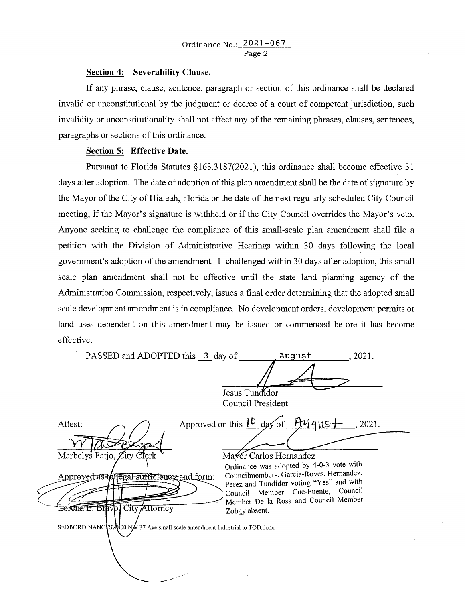### **Section 4: Severability Clause.**

If any phrase, clause, sentence, paragraph or section of this ordinance shall be declared invalid or unconstitutional by the judgment or decree of a court of competent jurisdiction, such invalidity or unconstitutionality shall not affect any of the remaining phrases, clauses, sentences, paragraphs or sections of this ordinance.

# **Section 5: Effective Date.**

Pursuant to Florida Statutes §163.3187(2021), this ordinance shall become effective 31 days after adoption. The date of adoption of this plan amendment shall be the date of signature by the Mayor of the City of Hialeah, Florida or the date of the next regularly scheduled City Council meeting, if the Mayor's signature is withheld or if the City Council overrides the Mayor's veto. Anyone seeking to challenge the compliance of this small-scale plan amendment shall file a petition with the Division of Administrative Hearings within 30 days following the local government's adoption of the amendment. If challenged within 30 days after adoption, this small scale plan amendment shall not be effective until the state land planning agency of the Administration Commission, respectively, issues a final order determining that the adopted small scale development amendment is in compliance. No development orders, development permits or land uses dependent on this amendment may be issued or commenced before it has become effective.

|                   | PASSED and ADOPTED this 3 day of                                             |                                                                                                                        | August | , 2021. |
|-------------------|------------------------------------------------------------------------------|------------------------------------------------------------------------------------------------------------------------|--------|---------|
|                   |                                                                              | Jesus Tundidor                                                                                                         |        |         |
| Council President |                                                                              |                                                                                                                        |        |         |
|                   | Attest:                                                                      | Approved on this $1^{\circ}$ day of $\frac{\mathcal{H}}{\mathcal{H}}$ qus +                                            |        | , 2021. |
|                   | Marbelys Fatjo, City Clerk                                                   | Mayor Carlos Hernandez                                                                                                 |        |         |
|                   | Approved as to legal sufficiency and form:                                   | Ordinance was adopted by 4-0-3 vote with<br>Councilmembers, Garcia-Roves, Hernandez,                                   |        |         |
|                   |                                                                              | Perez and Tundidor voting "Yes" and with<br>Council Member Cue-Fuente, Council<br>Member De la Rosa and Council Member |        |         |
|                   | Lorena E. Bravol City Attorney                                               | Zobgy absent.                                                                                                          |        |         |
|                   | S:\DJ\ORDINANCES\4800 NW 37 Ave small scale amendment Industrial to TOD.docx |                                                                                                                        |        |         |
|                   |                                                                              |                                                                                                                        |        |         |
|                   |                                                                              |                                                                                                                        |        |         |